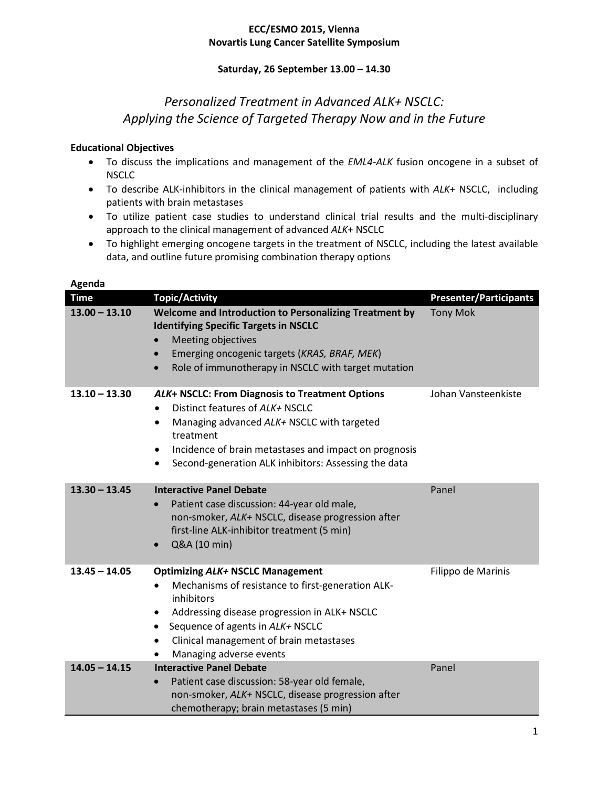### **ECC/ESMO 2015, Vienna Novartis Lung Cancer Satellite Symposium**

## **Saturday, 26 September 13.00 – 14.30**

# *Personalized Treatment in Advanced ALK+ NSCLC: Applying the Science of Targeted Therapy Now and in the Future*

### **Educational Objectives**

- To discuss the implications and management of the *EML4-ALK* fusion oncogene in a subset of NSCLC
- To describe ALK-inhibitors in the clinical management of patients with *ALK*+ NSCLC, including patients with brain metastases
- To utilize patient case studies to understand clinical trial results and the multi-disciplinary approach to the clinical management of advanced *ALK*+ NSCLC
- To highlight emerging oncogene targets in the treatment of NSCLC, including the latest available data, and outline future promising combination therapy options

| <b>Time</b>     | <b>Topic/Activity</b>                                                                                                                                                                                                                                                                               | <b>Presenter/Participants</b> |
|-----------------|-----------------------------------------------------------------------------------------------------------------------------------------------------------------------------------------------------------------------------------------------------------------------------------------------------|-------------------------------|
| $13.00 - 13.10$ | Welcome and Introduction to Personalizing Treatment by<br><b>Identifying Specific Targets in NSCLC</b><br>Meeting objectives<br>$\bullet$<br>Emerging oncogenic targets (KRAS, BRAF, MEK)<br>Role of immunotherapy in NSCLC with target mutation<br>$\bullet$                                       | <b>Tony Mok</b>               |
| $13.10 - 13.30$ | ALK+ NSCLC: From Diagnosis to Treatment Options<br>Distinct features of ALK+ NSCLC<br>Managing advanced ALK+ NSCLC with targeted<br>$\bullet$<br>treatment<br>Incidence of brain metastases and impact on prognosis<br>٠<br>Second-generation ALK inhibitors: Assessing the data<br>$\bullet$       | Johan Vansteenkiste           |
| $13.30 - 13.45$ | <b>Interactive Panel Debate</b><br>Patient case discussion: 44-year old male,<br>non-smoker, ALK+ NSCLC, disease progression after<br>first-line ALK-inhibitor treatment (5 min)<br>Q&A (10 min)                                                                                                    | Panel                         |
| $13.45 - 14.05$ | <b>Optimizing ALK+ NSCLC Management</b><br>Mechanisms of resistance to first-generation ALK-<br>$\bullet$<br>inhibitors<br>Addressing disease progression in ALK+ NSCLC<br>٠<br>Sequence of agents in ALK+ NSCLC<br>$\bullet$<br>Clinical management of brain metastases<br>Managing adverse events | Filippo de Marinis            |
| $14.05 - 14.15$ | <b>Interactive Panel Debate</b><br>Patient case discussion: 58-year old female,<br>non-smoker, ALK+ NSCLC, disease progression after<br>chemotherapy; brain metastases (5 min)                                                                                                                      | Panel                         |

#### **Agenda**